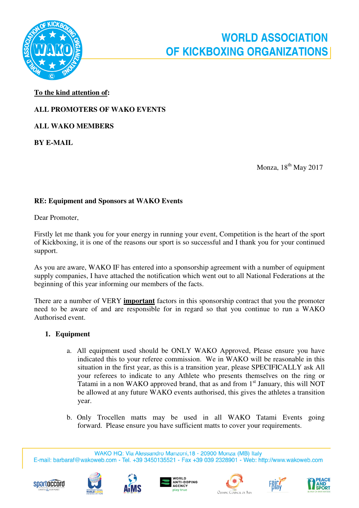

## **To the kind attention of:**

# **ALL PROMOTERS OF WAKO EVENTS**

**ALL WAKO MEMBERS** 

**BY E-MAIL** 

Monza, 18th May 2017

## **RE: Equipment and Sponsors at WAKO Events**

Dear Promoter,

Firstly let me thank you for your energy in running your event, Competition is the heart of the sport of Kickboxing, it is one of the reasons our sport is so successful and I thank you for your continued support.

As you are aware, WAKO IF has entered into a sponsorship agreement with a number of equipment supply companies, I have attached the notification which went out to all National Federations at the beginning of this year informing our members of the facts.

There are a number of VERY **important** factors in this sponsorship contract that you the promoter need to be aware of and are responsible for in regard so that you continue to run a WAKO Authorised event.

#### **1. Equipment**

- a. All equipment used should be ONLY WAKO Approved, Please ensure you have indicated this to your referee commission. We in WAKO will be reasonable in this situation in the first year, as this is a transition year, please SPECIFICALLY ask All your referees to indicate to any Athlete who presents themselves on the ring or Tatami in a non WAKO approved brand, that as and from  $1<sup>st</sup>$  January, this will NOT be allowed at any future WAKO events authorised, this gives the athletes a transition year.
- b. Only Trocellen matts may be used in all WAKO Tatami Events going forward. Please ensure you have sufficient matts to cover your requirements.

WAKO HQ: Via Alessandro Manzoni, 18 - 20900 Monza (MB) Italy E-mail: barbaraf@wakoweb.com - Tel. +39 3450135521 - Fax +39 039 2328901 - Web: http://www.wakoweb.com